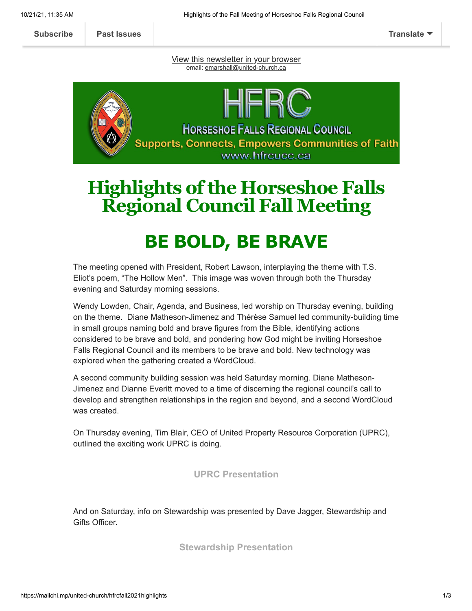**[Subscribe](http://eepurl.com/hqUUZ5) [Past Issues](https://us20.campaign-archive.com/home/?u=ee15470ca4eab124ea964929b&id=aba9e77f9c) [Translate](javascript:;)**

[View this newsletter in your browser](https://mailchi.mp/united-church/hfrcfall2021highlights?e=[UNIQID]) email: [emarshall@united-church.ca](mailto:emarshall@united-church.ca)



## **Highlights ofthe Horseshoe Falls Regional Council Fall Meeting**

# **BE BOLD, BE BRAVE**

The meeting opened with President, Robert Lawson, interplaying the theme with T.S. Eliot's poem, "The Hollow Men". This image was woven through both the Thursday evening and Saturday morning sessions.

Wendy Lowden, Chair, Agenda, and Business, led worship on Thursday evening, building on the theme. Diane Matheson-Jimenez and Thérèse Samuel led community-building time in small groups naming bold and brave figures from the Bible, identifying actions considered to be brave and bold, and pondering how God might be inviting Horseshoe Falls Regional Council and its members to be brave and bold. New technology was explored when the gathering created a WordCloud.

A second community building session was held Saturday morning. Diane Matheson-Jimenez and Dianne Everitt moved to a time of discerning the regional council's call to develop and strengthen relationships in the region and beyond, and a second WordCloud was created.

On Thursday evening, Tim Blair, CEO of United Property Resource Corporation (UPRC), outlined the exciting work UPRC is doing.

## **[UPRC Presentation](https://www.dropbox.com/s/4t73p14a3actnpi/UPRC%20General%20Presentation%20211014.pdf?dl=0)**

And on Saturday, info on Stewardship was presented by Dave Jagger, Stewardship and Gifts Officer.

**[Stewardship Presentation](https://www.dropbox.com/s/hgeconwtb95efar/211014%20HFRC%20Stewardship%20Presentation.mp4?dl=0)**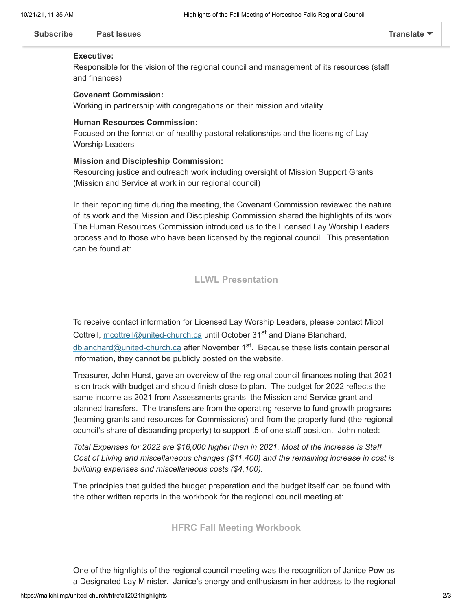|  | <b>Translate</b> |
|--|------------------|
|--|------------------|

#### **Executive:**

Responsible for the vision of the regional council and management of its resources (staff and finances)

#### **Covenant Commission:**

Working in partnership with congregations on their mission and vitality

#### **Human Resources Commission:**

Focused on the formation of healthy pastoral relationships and the licensing of Lay Worship Leaders

#### **Mission and Discipleship Commission:**

Resourcing justice and outreach work including oversight of Mission Support Grants (Mission and Service at work in our regional council)

In their reporting time during the meeting, the Covenant Commission reviewed the nature of its work and the Mission and Discipleship Commission shared the highlights of its work. The Human Resources Commission introduced us to the Licensed Lay Worship Leaders process and to those who have been licensed by the regional council. This presentation can be found at:

## **[LLWL Presentation](https://www.dropbox.com/s/y7o7c5ae0bf1ieq/211016%20HFRC%20LLWL%20Presentation.mp4?dl=0)**

To receive contact information for Licensed Lay Worship Leaders, please contact Micol Cottrell, [mcottrell@united-church.ca](mailto:mcottrell@united-church.ca) until October 31<sup>st</sup> and Diane Blanchard, <u>[dblanchard@united-church.ca](mailto:dblanchard@united-church.ca)</u> after November 1<sup>st</sup>. Because these lists contain personal information, they cannot be publicly posted on the website.

Treasurer, John Hurst, gave an overview of the regional council finances noting that 2021 is on track with budget and should finish close to plan. The budget for 2022 reflects the same income as 2021 from Assessments grants, the Mission and Service grant and planned transfers. The transfers are from the operating reserve to fund growth programs (learning grants and resources for Commissions) and from the property fund (the regional council's share of disbanding property) to support .5 of one staff position. John noted:

*Total Expenses for 2022 are \$16,000 higher than in 2021. Most of the increase is Staff Cost of Living and miscellaneous changes (\$11,400) and the remaining increase in cost is building expenses and miscellaneous costs (\$4,100).*

The principles that guided the budget preparation and the budget itself can be found with the other written reports in the workbook for the regional council meeting at:

### **[HFRC Fall Meeting Workbook](https://hfrcucc.ca/wp-content/uploads/2021/10/Horseshoe-Falls-Regional-Council-Workbook-Fall-2021.pdf)**

One of the highlights of the regional council meeting was the recognition of Janice Pow as a Designated Lay Minister. Janice's energy and enthusiasm in her address to the regional